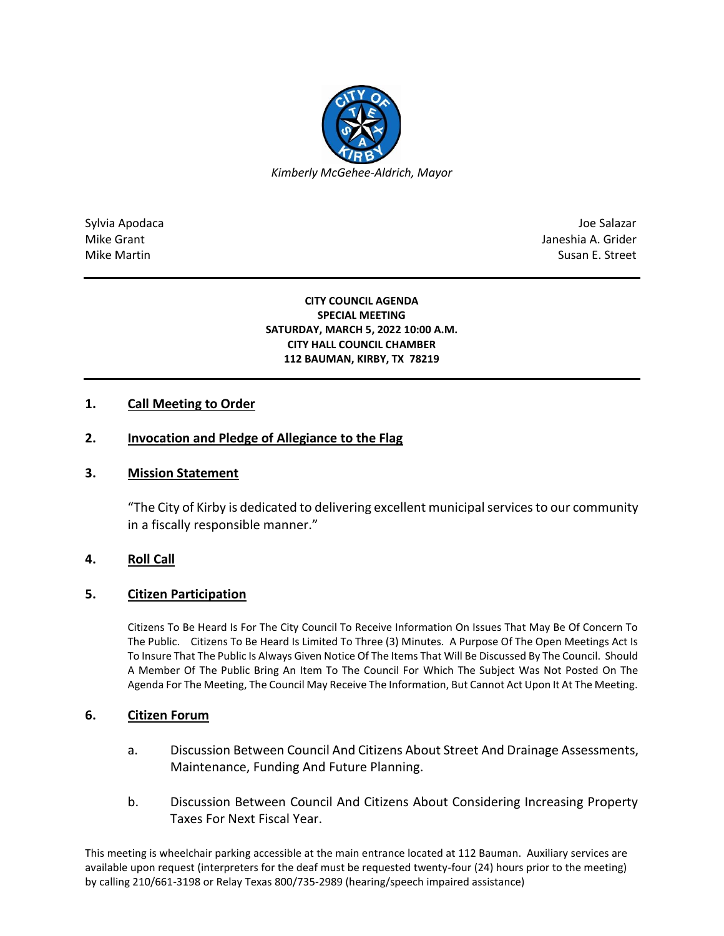

Sylvia Apodaca Joe Salazar Joe Salazar Joe Salazar Joe Salazar Joe Salazar Joe Salazar Joe Salazar Joe Salazar Mike Grant **Janeshia A. Grider** A. Grider A. Grider A. Grider A. Grider A. Grider A. Grider A. Grider A. Grider Mike Martin Susan E. Street

#### **CITY COUNCIL AGENDA SPECIAL MEETING SATURDAY, MARCH 5, 2022 10:00 A.M. CITY HALL COUNCIL CHAMBER 112 BAUMAN, KIRBY, TX 78219**

## **1. Call Meeting to Order**

# **2. Invocation and Pledge of Allegiance to the Flag**

## **3. Mission Statement**

"The City of Kirby is dedicated to delivering excellent municipal services to our community in a fiscally responsible manner."

## **4. Roll Call**

## **5. Citizen Participation**

Citizens To Be Heard Is For The City Council To Receive Information On Issues That May Be Of Concern To The Public. Citizens To Be Heard Is Limited To Three (3) Minutes. A Purpose Of The Open Meetings Act Is To Insure That The Public Is Always Given Notice Of The Items That Will Be Discussed By The Council. Should A Member Of The Public Bring An Item To The Council For Which The Subject Was Not Posted On The Agenda For The Meeting, The Council May Receive The Information, But Cannot Act Upon It At The Meeting.

#### **6. Citizen Forum**

- a. Discussion Between Council And Citizens About Street And Drainage Assessments, Maintenance, Funding And Future Planning.
- b. Discussion Between Council And Citizens About Considering Increasing Property Taxes For Next Fiscal Year.

This meeting is wheelchair parking accessible at the main entrance located at 112 Bauman. Auxiliary services are available upon request (interpreters for the deaf must be requested twenty-four (24) hours prior to the meeting) by calling 210/661-3198 or Relay Texas 800/735-2989 (hearing/speech impaired assistance)